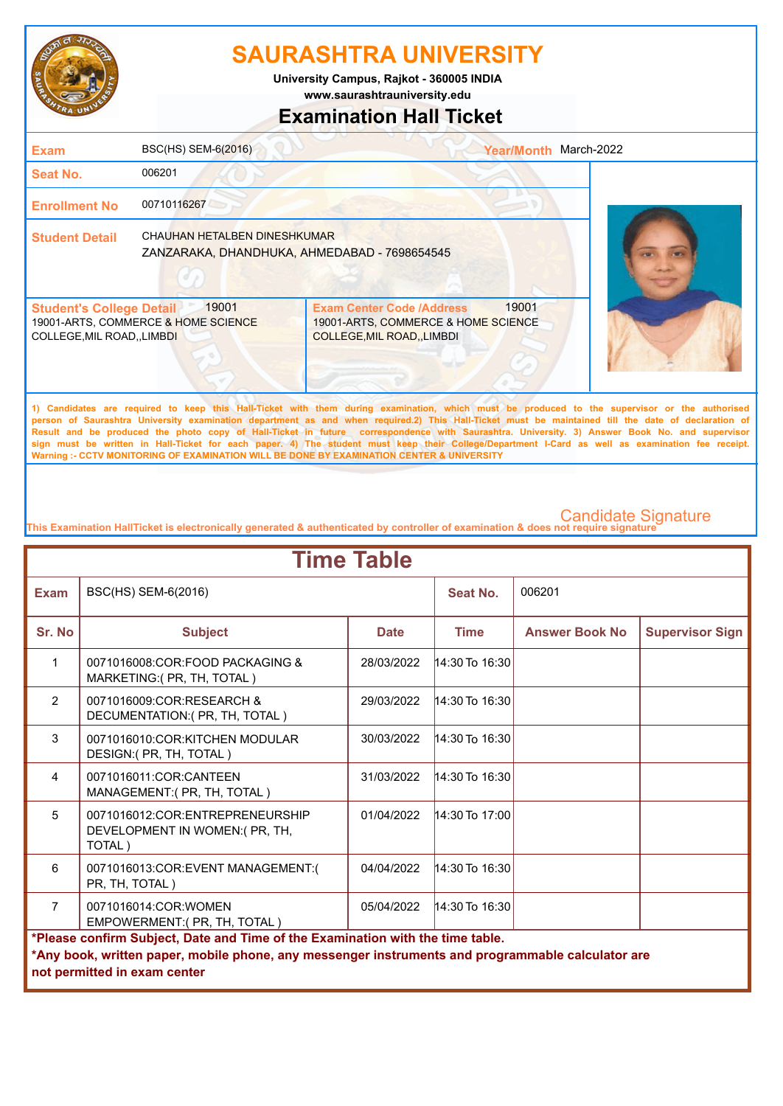

**www.saurashtrauniversity.edu University Campus, Rajkot - 360005 INDIA**

### **Examination Hall Ticket**

| <b>Exam</b>                                                    | BSC(HS) SEM-6(2016)                                                                 |                                                                                                        | <b>Year/Month</b> | March-2022                                                                                                                                   |
|----------------------------------------------------------------|-------------------------------------------------------------------------------------|--------------------------------------------------------------------------------------------------------|-------------------|----------------------------------------------------------------------------------------------------------------------------------------------|
| <b>Seat No.</b>                                                | 006201                                                                              |                                                                                                        |                   |                                                                                                                                              |
| <b>Enrollment No</b>                                           | 00710116267                                                                         |                                                                                                        |                   |                                                                                                                                              |
| <b>Student Detail</b>                                          | <b>CHAUHAN HETALBEN DINESHKUMAR</b><br>ZANZARAKA, DHANDHUKA, AHMEDABAD - 7698654545 |                                                                                                        |                   |                                                                                                                                              |
| <b>Student's College Detail</b><br>COLLEGE, MIL ROAD, , LIMBDI | 19001<br>19001-ARTS, COMMERCE & HOME SCIENCE                                        | <b>Exam Center Code /Address</b><br>19001-ARTS, COMMERCE & HOME SCIENCE<br>COLLEGE, MIL ROAD, , LIMBDI | 19001             |                                                                                                                                              |
|                                                                |                                                                                     |                                                                                                        |                   | 1) Candidates are required to keep this Hall-Ticket with them during examination, which must be produced to the supervisor or the authorised |

**person of Saurashtra University examination department as and when required.2) This Hall-Ticket must be maintained till the date of declaration of Result and be produced the photo copy of Hall-Ticket in future correspondence with Saurashtra. University. 3) Answer Book No. and supervisor sign must be written in Hall-Ticket for each paper. 4) The student must keep their College/Department I-Card as well as examination fee receipt. Warning :- CCTV MONITORING OF EXAMINATION WILL BE DONE BY EXAMINATION CENTER & UNIVERSITY**

| <b>Time Table</b>                                                                                                                                                                                                   |                                                                             |             |                    |                       |                        |  |
|---------------------------------------------------------------------------------------------------------------------------------------------------------------------------------------------------------------------|-----------------------------------------------------------------------------|-------------|--------------------|-----------------------|------------------------|--|
| <b>Exam</b>                                                                                                                                                                                                         | BSC(HS) SEM-6(2016)                                                         |             | Seat No.           | 006201                |                        |  |
| Sr. No                                                                                                                                                                                                              | <b>Subject</b>                                                              | <b>Date</b> | <b>Time</b>        | <b>Answer Book No</b> | <b>Supervisor Sign</b> |  |
| $\mathbf{1}$                                                                                                                                                                                                        | 0071016008:COR:FOOD PACKAGING &<br>MARKETING: (PR, TH, TOTAL)               | 28/03/2022  | $14:30$ To $16:30$ |                       |                        |  |
| $\mathcal{P}$                                                                                                                                                                                                       | 0071016009:COR:RESEARCH &<br>DECUMENTATION: (PR, TH, TOTAL)                 | 29/03/2022  | 14:30 To 16:30     |                       |                        |  |
| 3                                                                                                                                                                                                                   | 0071016010:COR:KITCHEN MODULAR<br>DESIGN:( PR, TH, TOTAL)                   | 30/03/2022  | $14:30$ To $16:30$ |                       |                        |  |
| $\overline{4}$                                                                                                                                                                                                      | 0071016011:COR:CANTEEN<br>MANAGEMENT:( PR, TH, TOTAL)                       | 31/03/2022  | $14:30$ To $16:30$ |                       |                        |  |
| 5                                                                                                                                                                                                                   | 0071016012:COR:ENTREPRENEURSHIP<br>DEVELOPMENT IN WOMEN: (PR, TH,<br>TOTAL) | 01/04/2022  | $14:30$ To 17:00   |                       |                        |  |
| 6                                                                                                                                                                                                                   | 0071016013:COR:EVENT MANAGEMENT:(<br>PR, TH, TOTAL)                         | 04/04/2022  | 14:30 To 16:30     |                       |                        |  |
| $\overline{7}$                                                                                                                                                                                                      | 0071016014:COR:WOMEN<br>EMPOWERMENT:(PR, TH, TOTAL)                         | 05/04/2022  | $14:30$ To $16:30$ |                       |                        |  |
| *Please confirm Subject, Date and Time of the Examination with the time table.<br>*Any book, written paper, mobile phone, any messenger instruments and programmable calculator are<br>not permitted in exam center |                                                                             |             |                    |                       |                        |  |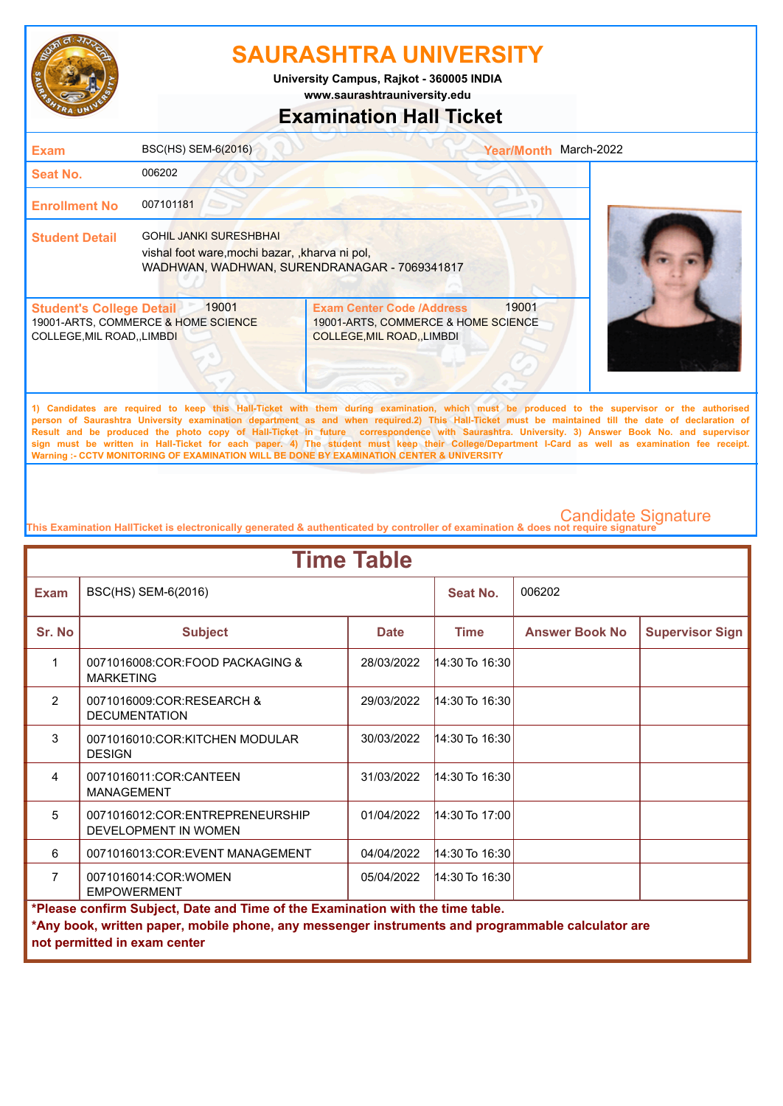

**www.saurashtrauniversity.edu University Campus, Rajkot - 360005 INDIA**

# **Examination Hall Ticket**

| <b>Exam</b>                                                    | BSC(HS) SEM-6(2016)                                                                                                            |                                                                                                             | <b>Year/Month</b> | March-2022                                                                                                                                                                                                                                                                                         |
|----------------------------------------------------------------|--------------------------------------------------------------------------------------------------------------------------------|-------------------------------------------------------------------------------------------------------------|-------------------|----------------------------------------------------------------------------------------------------------------------------------------------------------------------------------------------------------------------------------------------------------------------------------------------------|
| Seat No.                                                       | 006202                                                                                                                         |                                                                                                             |                   |                                                                                                                                                                                                                                                                                                    |
| <b>Enrollment No</b>                                           | 007101181                                                                                                                      |                                                                                                             |                   |                                                                                                                                                                                                                                                                                                    |
| <b>Student Detail</b>                                          | <b>GOHIL JANKI SURESHBHAI</b><br>vishal foot ware, mochi bazar, kharva ni pol,<br>WADHWAN, WADHWAN, SURENDRANAGAR - 7069341817 |                                                                                                             |                   |                                                                                                                                                                                                                                                                                                    |
| <b>Student's College Detail</b><br>COLLEGE, MIL ROAD, , LIMBDI | 19001<br>19001-ARTS, COMMERCE & HOME SCIENCE                                                                                   | <b>Exam Center Code /Address</b><br>19001-ARTS, COMMERCE & HOME SCIENCE<br><b>COLLEGE, MIL ROAD, LIMBDI</b> | 19001             |                                                                                                                                                                                                                                                                                                    |
|                                                                |                                                                                                                                |                                                                                                             |                   | 1) Candidates are required to keep this Hall-Ticket with them during examination, which must be produced to the supervisor or the authorised<br>person of Saurashtra University examination department as and when required.2) This Hall-Ticket must be maintained till the date of declaration of |

**Result and be produced the photo copy of Hall-Ticket in future correspondence with Saurashtra. University. 3) Answer Book No. and supervisor sign must be written in Hall-Ticket for each paper. 4) The student must keep their College/Department I-Card as well as examination fee receipt. Warning :- CCTV MONITORING OF EXAMINATION WILL BE DONE BY EXAMINATION CENTER & UNIVERSITY**

| <b>Time Table</b>                                                                                 |                                                         |             |                    |                       |                        |  |
|---------------------------------------------------------------------------------------------------|---------------------------------------------------------|-------------|--------------------|-----------------------|------------------------|--|
| <b>Exam</b>                                                                                       | BSC(HS) SEM-6(2016)                                     |             | Seat No.           | 006202                |                        |  |
| Sr. No                                                                                            | <b>Subject</b>                                          | <b>Date</b> | <b>Time</b>        | <b>Answer Book No</b> | <b>Supervisor Sign</b> |  |
| 1                                                                                                 | 0071016008:COR:FOOD PACKAGING &<br><b>MARKETING</b>     | 28/03/2022  | 14:30 To 16:30     |                       |                        |  |
| $\overline{2}$                                                                                    | 0071016009:COR:RESEARCH &<br><b>DECUMENTATION</b>       | 29/03/2022  | 14:30 To 16:30     |                       |                        |  |
| 3                                                                                                 | 0071016010:COR:KITCHEN MODULAR<br><b>DESIGN</b>         | 30/03/2022  | $14:30$ To $16:30$ |                       |                        |  |
| 4                                                                                                 | 0071016011:COR:CANTEEN<br><b>MANAGEMENT</b>             | 31/03/2022  | $14:30$ To $16:30$ |                       |                        |  |
| 5                                                                                                 | 0071016012:COR:ENTREPRENEURSHIP<br>DEVELOPMENT IN WOMEN | 01/04/2022  | 14:30 To 17:00     |                       |                        |  |
| 6                                                                                                 | 0071016013:COR:EVENT MANAGEMENT                         | 04/04/2022  | 14:30 To 16:30     |                       |                        |  |
| $\overline{7}$                                                                                    | 0071016014:COR:WOMEN<br><b>EMPOWERMENT</b>              | 05/04/2022  | $14:30$ To $16:30$ |                       |                        |  |
| *Please confirm Subject, Date and Time of the Examination with the time table.                    |                                                         |             |                    |                       |                        |  |
| *Any book, written paper, mobile phone, any messenger instruments and programmable calculator are |                                                         |             |                    |                       |                        |  |
| not permitted in exam center                                                                      |                                                         |             |                    |                       |                        |  |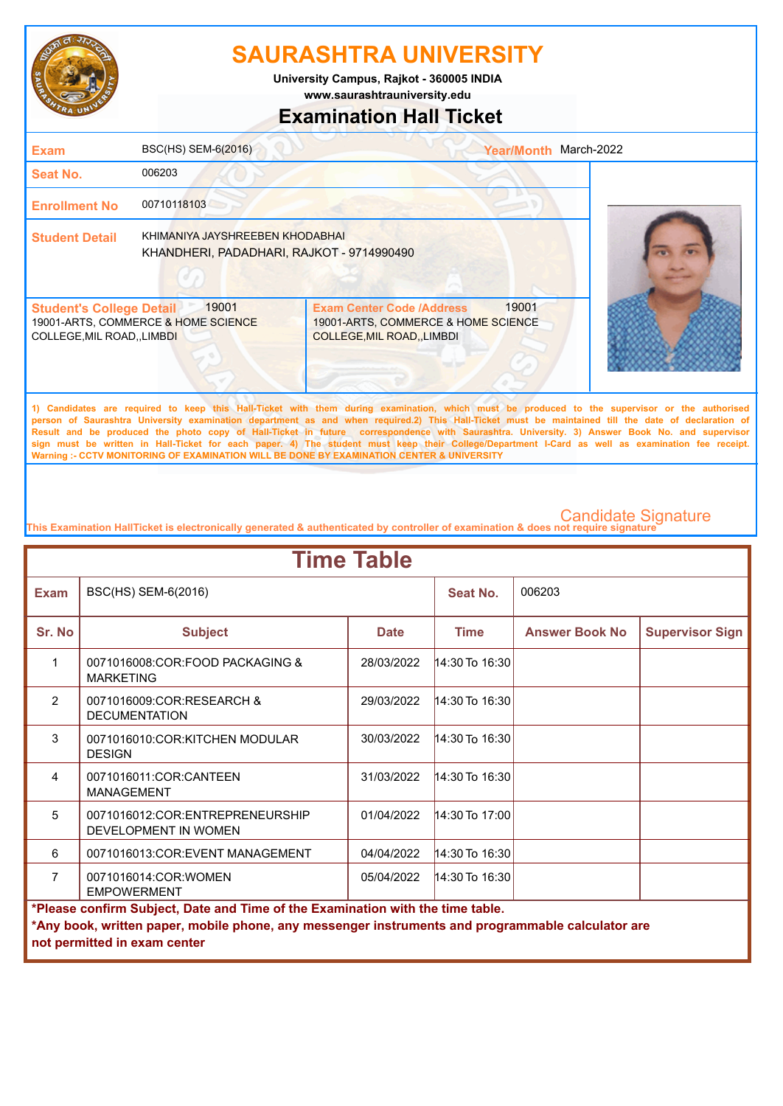

**University Campus, Rajkot - 360005 INDIA**

**www.saurashtrauniversity.edu**

### **Examination Hall Ticket**

| <b>Exam</b>                                                    | BSC(HS) SEM-6(2016)                                                          |                                                                                                                                                                                                                                | <b>Year/Month</b> | March-2022                                                                                                                                   |
|----------------------------------------------------------------|------------------------------------------------------------------------------|--------------------------------------------------------------------------------------------------------------------------------------------------------------------------------------------------------------------------------|-------------------|----------------------------------------------------------------------------------------------------------------------------------------------|
| Seat No.                                                       | 006203                                                                       |                                                                                                                                                                                                                                |                   |                                                                                                                                              |
| <b>Enrollment No</b>                                           | 00710118103                                                                  |                                                                                                                                                                                                                                |                   |                                                                                                                                              |
| <b>Student Detail</b>                                          | KHIMANIYA JAYSHREEBEN KHODABHAI<br>KHANDHERI, PADADHARI, RAJKOT - 9714990490 |                                                                                                                                                                                                                                |                   |                                                                                                                                              |
| <b>Student's College Detail</b><br>COLLEGE, MIL ROAD, , LIMBDI | 19001<br>19001-ARTS, COMMERCE & HOME SCIENCE                                 | <b>Exam Center Code /Address</b><br>19001-ARTS, COMMERCE & HOME SCIENCE<br><b>COLLEGE, MIL ROAD, , LIMBDI</b>                                                                                                                  | 19001             |                                                                                                                                              |
|                                                                |                                                                              | THE REPORT OF REPORT OF A REPORT OF RESIDENCE AND DESCRIPTION OF REPORT OF A REPORT OF A REPORT OF A REPORT OF A REPORT OF A REPORT OF A REPORT OF A REPORT OF A REPORT OF A REPORT OF A REPORT OF A REPORT OF A REPORT OF A R |                   | 1) Candidates are required to keep this Hall-Ticket with them during examination, which must be produced to the supervisor or the authorised |

**person of Saurashtra University examination department as and when required.2) This Hall-Ticket must be maintained till the date of declaration of Result and be produced the photo copy of Hall-Ticket in future correspondence with Saurashtra. University. 3) Answer Book No. and supervisor sign must be written in Hall-Ticket for each paper. 4) The student must keep their College/Department I-Card as well as examination fee receipt. Warning :- CCTV MONITORING OF EXAMINATION WILL BE DONE BY EXAMINATION CENTER & UNIVERSITY**

| <b>Time Table</b>                                                                                 |                                                         |             |                    |                       |                        |  |
|---------------------------------------------------------------------------------------------------|---------------------------------------------------------|-------------|--------------------|-----------------------|------------------------|--|
| <b>Exam</b>                                                                                       | BSC(HS) SEM-6(2016)                                     |             | Seat No.           | 006203                |                        |  |
| Sr. No                                                                                            | <b>Subject</b>                                          | <b>Date</b> | <b>Time</b>        | <b>Answer Book No</b> | <b>Supervisor Sign</b> |  |
| 1                                                                                                 | 0071016008:COR:FOOD PACKAGING &<br><b>MARKETING</b>     | 28/03/2022  | $14:30$ To 16:30   |                       |                        |  |
| $\overline{2}$                                                                                    | 0071016009:COR:RESEARCH &<br><b>DECUMENTATION</b>       | 29/03/2022  | $14:30$ To $16:30$ |                       |                        |  |
| 3                                                                                                 | 0071016010:COR:KITCHEN MODULAR<br><b>DESIGN</b>         | 30/03/2022  | 14:30 To 16:30     |                       |                        |  |
| 4                                                                                                 | 0071016011:COR:CANTEEN<br><b>MANAGEMENT</b>             | 31/03/2022  | 14:30 To 16:30     |                       |                        |  |
| 5                                                                                                 | 0071016012:COR:ENTREPRENEURSHIP<br>DEVELOPMENT IN WOMEN | 01/04/2022  | $14:30$ To 17:00   |                       |                        |  |
| 6                                                                                                 | 0071016013:COR:EVENT MANAGEMENT                         | 04/04/2022  | 14:30 To 16:30     |                       |                        |  |
| $\overline{7}$                                                                                    | 0071016014:COR:WOMEN<br><b>EMPOWERMENT</b>              | 05/04/2022  | $14:30$ To $16:30$ |                       |                        |  |
| *Please confirm Subject, Date and Time of the Examination with the time table.                    |                                                         |             |                    |                       |                        |  |
| *Any book, written paper, mobile phone, any messenger instruments and programmable calculator are |                                                         |             |                    |                       |                        |  |
| not permitted in exam center                                                                      |                                                         |             |                    |                       |                        |  |